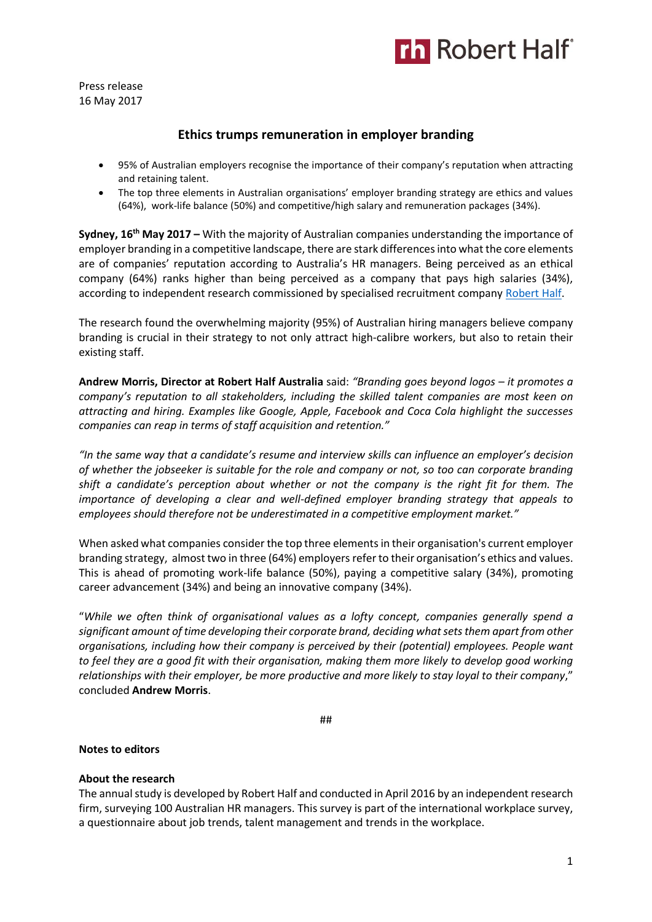

Press release 16 May 2017

# **Ethics trumps remuneration in employer branding**

- 95% of Australian employers recognise the importance of their company's reputation when attracting and retaining talent.
- The top three elements in Australian organisations' employer branding strategy are ethics and values (64%), work-life balance (50%) and competitive/high salary and remuneration packages (34%).

**Sydney, 16th May 2017 –** With the majority of Australian companies understanding the importance of employer branding in a competitive landscape, there are stark differences into what the core elements are of companies' reputation according to Australia's HR managers. Being perceived as an ethical company (64%) ranks higher than being perceived as a company that pays high salaries (34%), according to independent research commissioned by specialised recruitment compan[y Robert Half.](https://www.roberthalf.com.au/?utm_source=roberthalf&utm_medium=pressrelease&utm_campaign=rh-all-nonspecific-ongoing)

The research found the overwhelming majority (95%) of Australian hiring managers believe company branding is crucial in their strategy to not only attract high-calibre workers, but also to retain their existing staff.

**Andrew Morris, Director at Robert Half Australia** said: *"Branding goes beyond logos – it promotes a company's reputation to all stakeholders, including the skilled talent companies are most keen on attracting and hiring. Examples like Google, Apple, Facebook and Coca Cola highlight the successes companies can reap in terms of staff acquisition and retention."*

*"In the same way that a candidate's resume and interview skills can influence an employer's decision of whether the jobseeker is suitable for the role and company or not, so too can corporate branding shift a candidate's perception about whether or not the company is the right fit for them. The importance of developing a clear and well-defined employer branding strategy that appeals to employees should therefore not be underestimated in a competitive employment market."*

When asked what companies consider the top three elements in their organisation's current employer branding strategy, almost two in three (64%) employers refer to their organisation's ethics and values. This is ahead of promoting work-life balance (50%), paying a competitive salary (34%), promoting career advancement (34%) and being an innovative company (34%).

"*While we often think of organisational values as a lofty concept, companies generally spend a significant amount of time developing their corporate brand, deciding what sets them apart from other organisations, including how their company is perceived by their (potential) employees. People want to feel they are a good fit with their organisation, making them more likely to develop good working relationships with their employer, be more productive and more likely to stay loyal to their company*," concluded **Andrew Morris**.

##

## **Notes to editors**

## **About the research**

The annual study is developed by Robert Half and conducted in April 2016 by an independent research firm, surveying 100 Australian HR managers. This survey is part of the international workplace survey, a questionnaire about job trends, talent management and trends in the workplace.